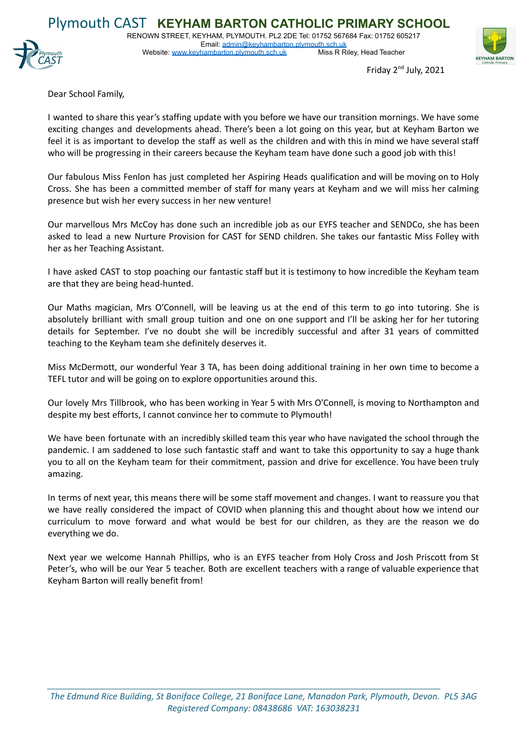

Email: [admin@keyhambarton.plymouth.sch.uk](mailto:admin@keyhambarton.plymouth.sch.uk)<br>hambarton.plymouth.sch.uk Miss R Riley, Head Teacher Website: [www.keyhambarton.plymouth.sch.uk](http://www.keyhambarton.plymouth.sch.uk)



Friday 2<sup>nd</sup> July, 2021

Dear School Family,

I wanted to share this year's staffing update with you before we have our transition mornings. We have some exciting changes and developments ahead. There's been a lot going on this year, but at Keyham Barton we feel it is as important to develop the staff as well as the children and with this in mind we have several staff who will be progressing in their careers because the Keyham team have done such a good job with this!

Our fabulous Miss Fenlon has just completed her Aspiring Heads qualification and will be moving on to Holy Cross. She has been a committed member of staff for many years at Keyham and we will miss her calming presence but wish her every success in her new venture!

Our marvellous Mrs McCoy has done such an incredible job as our EYFS teacher and SENDCo, she has been asked to lead a new Nurture Provision for CAST for SEND children. She takes our fantastic Miss Folley with her as her Teaching Assistant.

I have asked CAST to stop poaching our fantastic staff but it is testimony to how incredible the Keyham team are that they are being head-hunted.

Our Maths magician, Mrs O'Connell, will be leaving us at the end of this term to go into tutoring. She is absolutely brilliant with small group tuition and one on one support and I'll be asking her for her tutoring details for September. I've no doubt she will be incredibly successful and after 31 years of committed teaching to the Keyham team she definitely deserves it.

Miss McDermott, our wonderful Year 3 TA, has been doing additional training in her own time to become a TEFL tutor and will be going on to explore opportunities around this.

Our lovely Mrs Tillbrook, who has been working in Year 5 with Mrs O'Connell, is moving to Northampton and despite my best efforts, I cannot convince her to commute to Plymouth!

We have been fortunate with an incredibly skilled team this year who have navigated the school through the pandemic. I am saddened to lose such fantastic staff and want to take this opportunity to say a huge thank you to all on the Keyham team for their commitment, passion and drive for excellence. You have been truly amazing.

In terms of next year, this means there will be some staff movement and changes. I want to reassure you that we have really considered the impact of COVID when planning this and thought about how we intend our curriculum to move forward and what would be best for our children, as they are the reason we do everything we do.

Next year we welcome Hannah Phillips, who is an EYFS teacher from Holy Cross and Josh Priscott from St Peter's, who will be our Year 5 teacher. Both are excellent teachers with a range of valuable experience that Keyham Barton will really benefit from!

*\_\_\_\_\_\_\_\_\_\_\_\_\_\_\_\_\_\_\_\_\_\_\_\_\_\_\_\_\_\_\_\_\_\_\_\_\_\_\_\_\_\_\_\_\_\_\_\_\_\_\_\_\_\_\_\_\_\_\_\_\_\_\_\_\_\_\_\_\_\_\_\_\_\_\_\_\_\_\_\_\_\_\_\_\_\_\_\_\_\_\_\_\_\_\_\_\_\_\_*